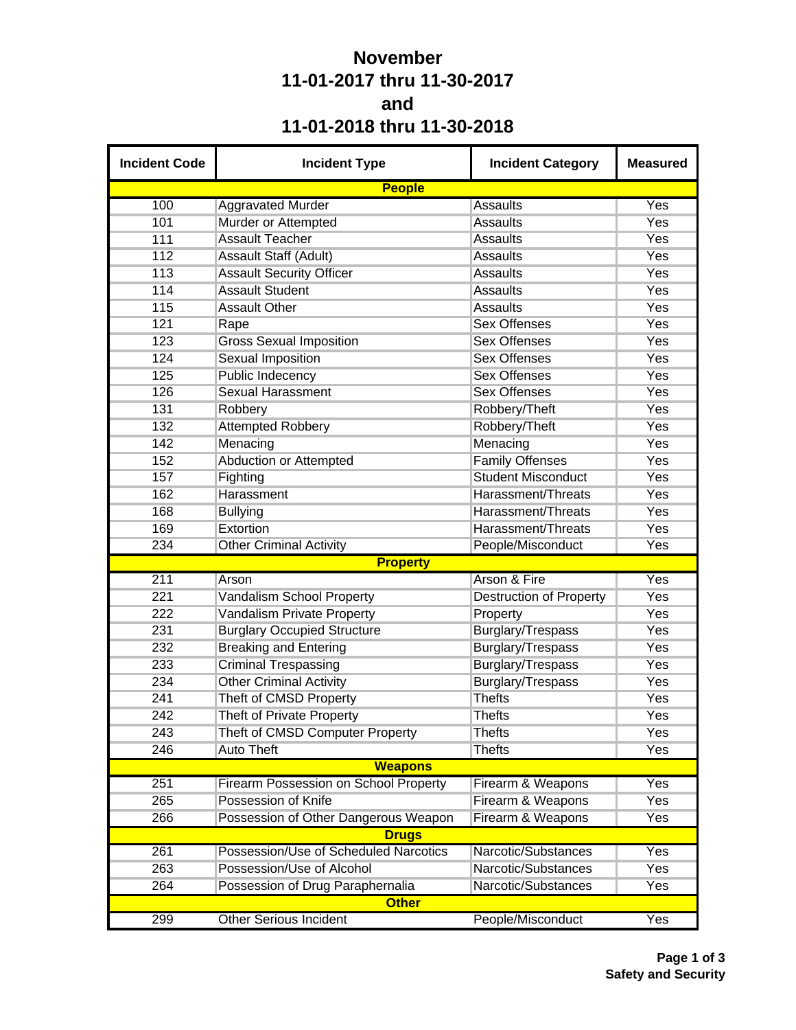## **November 11-01-2017 thru 11-30-2017 and 11-01-2018 thru 11-30-2018**

| <b>Incident Code</b> | <b>Incident Type</b>                  | <b>Incident Category</b>       | <b>Measured</b>  |
|----------------------|---------------------------------------|--------------------------------|------------------|
|                      | <b>People</b>                         |                                |                  |
| 100                  | <b>Aggravated Murder</b>              | <b>Assaults</b>                | Yes              |
| 101                  | Murder or Attempted                   | <b>Assaults</b>                | Yes              |
| 111                  | <b>Assault Teacher</b>                | <b>Assaults</b>                | Yes              |
| 112                  | Assault Staff (Adult)                 | <b>Assaults</b>                | Yes              |
| 113                  | <b>Assault Security Officer</b>       | <b>Assaults</b>                | Yes              |
| 114                  | <b>Assault Student</b>                | <b>Assaults</b>                | Yes              |
| 115                  | <b>Assault Other</b>                  | <b>Assaults</b>                | Yes              |
| 121                  | Rape                                  | <b>Sex Offenses</b>            | Yes              |
| 123                  | <b>Gross Sexual Imposition</b>        | <b>Sex Offenses</b>            | Yes              |
| 124                  | <b>Sexual Imposition</b>              | <b>Sex Offenses</b>            | Yes              |
| 125                  | <b>Public Indecency</b>               | <b>Sex Offenses</b>            | Yes              |
| 126                  | <b>Sexual Harassment</b>              | <b>Sex Offenses</b>            | Yes              |
| 131                  | Robbery                               | Robbery/Theft                  | Yes              |
| 132                  | <b>Attempted Robbery</b>              | Robbery/Theft                  | Yes              |
| 142                  | Menacing                              | Menacing                       | Yes              |
| 152                  | <b>Abduction or Attempted</b>         | <b>Family Offenses</b>         | Yes              |
| 157                  | Fighting                              | <b>Student Misconduct</b>      | Yes              |
| 162                  | Harassment                            | Harassment/Threats             | Yes              |
| 168                  | <b>Bullying</b>                       | Harassment/Threats             | Yes              |
| 169                  | Extortion                             | Harassment/Threats             | Yes              |
| 234                  | <b>Other Criminal Activity</b>        | People/Misconduct              | Yes              |
|                      | <b>Property</b>                       |                                |                  |
| 211                  | Arson                                 | Arson & Fire                   | Yes              |
| 221                  | Vandalism School Property             | <b>Destruction of Property</b> | Yes              |
| 222                  | Vandalism Private Property            | Property                       | Yes              |
| 231                  | <b>Burglary Occupied Structure</b>    | Burglary/Trespass              | Yes              |
| 232                  | <b>Breaking and Entering</b>          | Burglary/Trespass              | Yes              |
| 233                  | <b>Criminal Trespassing</b>           | Burglary/Trespass              | Yes              |
| 234                  | <b>Other Criminal Activity</b>        | Burglary/Trespass              | Yes              |
| 241                  | Theft of CMSD Property                | <b>Thefts</b>                  | Yes              |
| 242                  | <b>Theft of Private Property</b>      | <b>Thefts</b>                  | Yes              |
| 243                  | Theft of CMSD Computer Property       | <b>Thefts</b>                  | Yes              |
| 246                  | <b>Auto Theft</b>                     | <b>Thefts</b>                  | Yes              |
|                      | <b>Weapons</b>                        |                                |                  |
| 251                  | Firearm Possession on School Property | Firearm & Weapons              | Yes              |
| 265                  | Possession of Knife                   | Firearm & Weapons              | Yes              |
| 266                  | Possession of Other Dangerous Weapon  | Firearm & Weapons              | Yes              |
|                      | <b>Drugs</b>                          |                                |                  |
| 261                  | Possession/Use of Scheduled Narcotics | Narcotic/Substances            | Yes              |
| 263                  | Possession/Use of Alcohol             | Narcotic/Substances            | Yes              |
| 264                  | Possession of Drug Paraphernalia      | Narcotic/Substances            | Yes              |
|                      | <b>Other</b>                          |                                |                  |
| 299                  | <b>Other Serious Incident</b>         | People/Misconduct              | $\overline{Yes}$ |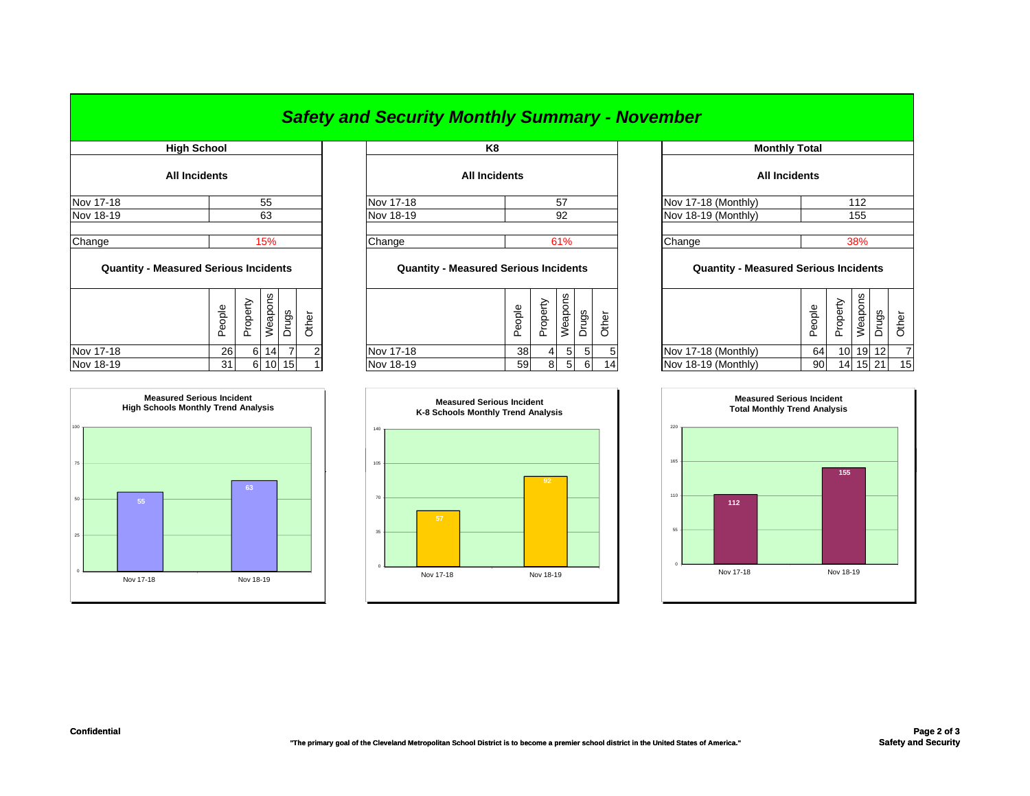## *Safety and Security Monthly Summary - November*

| <b>High School</b>                           |        |          |                    |       |       |                                              | K8                   |                |                |        |                |            |
|----------------------------------------------|--------|----------|--------------------|-------|-------|----------------------------------------------|----------------------|----------------|----------------|--------|----------------|------------|
| <b>All Incidents</b>                         |        |          |                    |       |       |                                              | <b>All Incidents</b> |                |                |        |                |            |
| Nov 17-18                                    |        |          | 55                 |       |       | Nov 17-18                                    |                      |                | 57             |        |                | Nov 17-    |
| Nov 18-19                                    |        |          | 63                 |       |       | Nov 18-19                                    |                      |                | 92             |        |                | Nov 18     |
| Change                                       |        |          | 15%                |       |       | Change                                       |                      |                | 61%            |        |                | Change     |
| <b>Quantity - Measured Serious Incidents</b> |        |          |                    |       |       | <b>Quantity - Measured Serious Incidents</b> |                      |                |                |        |                | Q          |
|                                              | People | Property | Weapons            | Drugs | Other |                                              | People               | Property       | Weapons        | Drugs  | Other          |            |
| Nov 17-18                                    | 26     | 6        | 14                 |       |       | Nov 17-18                                    | 38                   | $\overline{4}$ | 5 <sup>1</sup> | 5      | 5              | Nov 17-    |
| $M = 40.40$                                  | $\sim$ |          | $0 \times 10^{-1}$ |       |       | 1.1.1.40.40                                  | $\sim$               | $\sim$         | $-1$           | $\sim$ | $\overline{A}$ | $1.1 - 40$ |



| High School |                      |           | K8                   |                     | <b>Monthly Total</b> |  |  |  |  |
|-------------|----------------------|-----------|----------------------|---------------------|----------------------|--|--|--|--|
|             | <b>All Incidents</b> |           | <b>All Incidents</b> |                     | <b>All Incidents</b> |  |  |  |  |
| Nov 17-18   | 55                   | Nov 17-18 | 57                   | Nov 17-18 (Monthly) | 112                  |  |  |  |  |
| Nov 18-19   | 63                   | Nov 18-19 | 92                   | Nov 18-19 (Monthly) | 155                  |  |  |  |  |
| Change      | 15%                  | Change    | 61%                  | Change              | 38%                  |  |  |  |  |

## **Quantity - Measured Serious Incidents Quantity - Measured Serious Incidents Quantity - Measured Serious Incidents**

| w<br>Φ<br>ဖာ<br>န္ပ<br>ᅙ<br>ω<br>∸<br>ත<br>Ф<br>௨<br>Ф<br>∸<br>CD.<br>ட<br>ᄔ<br>⋍ | മ<br>G)<br><b>__</b> | Φ               | ∸  | w<br>-<br>gs<br>ಕ<br>Φ |     | ∽<br>Φ |                     | ople<br>Φ<br>௨ | $\overline{\mathsf{D}}$<br>∸<br>ட | ၯ<br>ເບ | ვ,    |    |
|-----------------------------------------------------------------------------------|----------------------|-----------------|----|------------------------|-----|--------|---------------------|----------------|-----------------------------------|---------|-------|----|
| Nov 17-18<br><b>26</b><br>6                                                       | Nov 17-18            | 38 <sup>l</sup> |    | -51                    |     | 5      | Nov 17-18 (Monthly) | 64             | 10 <sup>1</sup>                   |         | 19 12 |    |
| Nov 18-19<br>10 15<br>31<br>61                                                    | Nov 18-19            | 59              | 81 | 5                      | -61 | 14     | Nov 18-19 (Monthly) | 90             | 14                                | 15      | 21    | 15 |



| <b>Monthly Total</b>       |                                              |          |         |       |       |  |  |  |  |  |  |
|----------------------------|----------------------------------------------|----------|---------|-------|-------|--|--|--|--|--|--|
| <b>All Incidents</b>       |                                              |          |         |       |       |  |  |  |  |  |  |
| Vov 17-18 (Monthly)<br>112 |                                              |          |         |       |       |  |  |  |  |  |  |
| Vov 18-19 (Monthly)        |                                              |          | 155     |       |       |  |  |  |  |  |  |
|                            |                                              |          |         |       |       |  |  |  |  |  |  |
| Change<br>38%              |                                              |          |         |       |       |  |  |  |  |  |  |
|                            | <b>Quantity - Measured Serious Incidents</b> |          |         |       |       |  |  |  |  |  |  |
|                            | People                                       | Property | Weapons | Drugs | Other |  |  |  |  |  |  |
| Vov 17-18 (Monthly)        | 64                                           | 10       | 19      | 12    |       |  |  |  |  |  |  |
| Vov 18-19 (Monthly)        | 90                                           | 14       | 15      | 21    | 15    |  |  |  |  |  |  |
|                            |                                              |          |         |       |       |  |  |  |  |  |  |